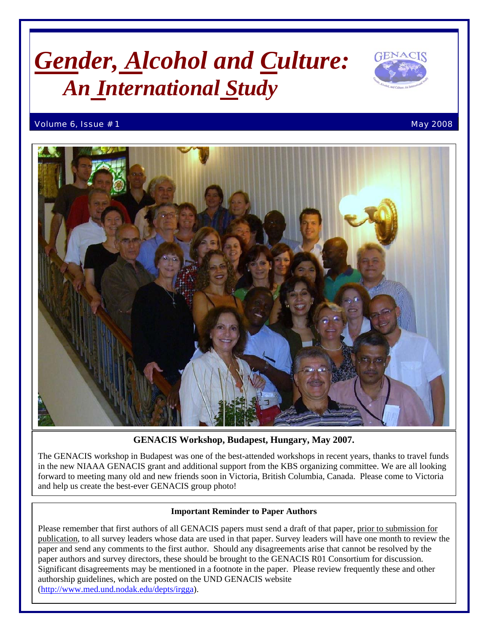# *Gender, Alcohol and Culture: An International Study*



#### Volume 6, Issue # 1 May 2008 and the extent of the extent of the extent of the extent of the extent of the extent of the extent of the extent of the extent of the extent of the extent of the extent of the extent of the ext



**GENACIS Workshop, Budapest, Hungary, May 2007.** 

The GENACIS workshop in Budapest was one of the best-attended workshops in recent years, thanks to travel funds in the new NIAAA GENACIS grant and additional support from the KBS organizing committee. We are all looking forward to meeting many old and new friends soon in Victoria, British Columbia, Canada. Please come to Victoria and help us create the best-ever GENACIS group photo!

#### **Important Reminder to Paper Authors**

Please remember that first authors of all GENACIS papers must send a draft of that paper, prior to submission for publication, to all survey leaders whose data are used in that paper. Survey leaders will have one month to review the paper and send any comments to the first author. Should any disagreements arise that cannot be resolved by the paper authors and survey directors, these should be brought to the GENACIS R01 Consortium for discussion. Significant disagreements may be mentioned in a footnote in the paper. Please review frequently these and other authorship guidelines, which are posted on the UND GENACIS website [\(http://www.med.und.nodak.edu/depts/irgga\)](http://www.med.und.nodak.edu/depts/irgga).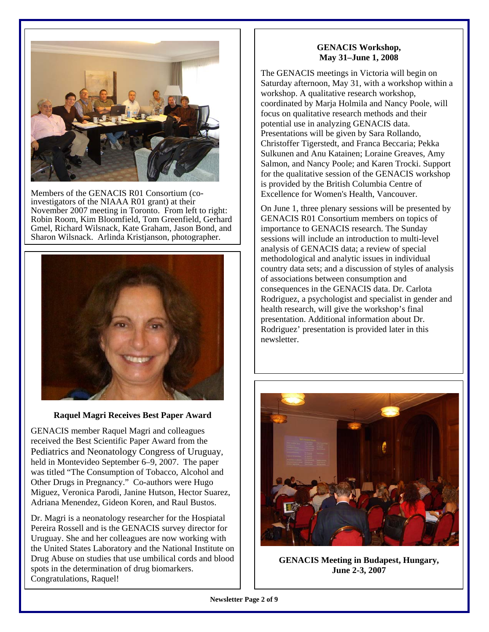

Members of the GENACIS R01 Consortium (coinvestigators of the NIAAA R01 grant) at their November 2007 meeting in Toronto. From left to right: Robin Room, Kim Bloomfield, Tom Greenfield, Gerhard Gmel, Richard Wilsnack, Kate Graham, Jason Bond, and Sharon Wilsnack. Arlinda Kristjanson, photographer.



#### **Raquel Magri Receives Best Paper Award**

GENACIS member Raquel Magri and colleagues received the Best Scientific Paper Award from the Pediatrics and Neonatology Congress of Uruguay, held in Montevideo September 6–9, 2007. The paper was titled "The Consumption of Tobacco, Alcohol and Other Drugs in Pregnancy." Co-authors were Hugo Miguez, Veronica Parodi, Janine Hutson, Hector Suarez, Adriana Menendez, Gideon Koren, and Raul Bustos.

Dr. Magri is a neonatology researcher for the Hospiatal Pereira Rossell and is the GENACIS survey director for Uruguay. She and her colleagues are now working with the United States Laboratory and the National Institute on Drug Abuse on studies that use umbilical cords and blood spots in the determination of drug biomarkers. Congratulations, Raquel!

#### **GENACIS Workshop, May 31–June 1, 2008**

The GENACIS meetings in Victoria will begin on Saturday afternoon, May 31, with a workshop within a workshop. A qualitative research workshop, coordinated by Marja Holmila and Nancy Poole, will focus on qualitative research methods and their potential use in analyzing GENACIS data. Presentations will be given by Sara Rollando, Christoffer Tigerstedt, and Franca Beccaria; Pekka Sulkunen and Anu Katainen; Loraine Greaves, Amy Salmon, and Nancy Poole; and Karen Trocki. Support for the qualitative session of the GENACIS workshop is provided by the British Columbia Centre of Excellence for Women's Health, Vancouver.

On June 1, three plenary sessions will be presented by GENACIS R01 Consortium members on topics of importance to GENACIS research. The Sunday sessions will include an introduction to multi-level analysis of GENACIS data; a review of special methodological and analytic issues in individual country data sets; and a discussion of styles of analysis of associations between consumption and consequences in the GENACIS data. Dr. Carlota Rodriguez, a psychologist and specialist in gender and health research, will give the workshop's final presentation. Additional information about Dr. Rodriguez' presentation is provided later in this newsletter.



**GENACIS Meeting in Budapest, Hungary, June 2-3, 2007**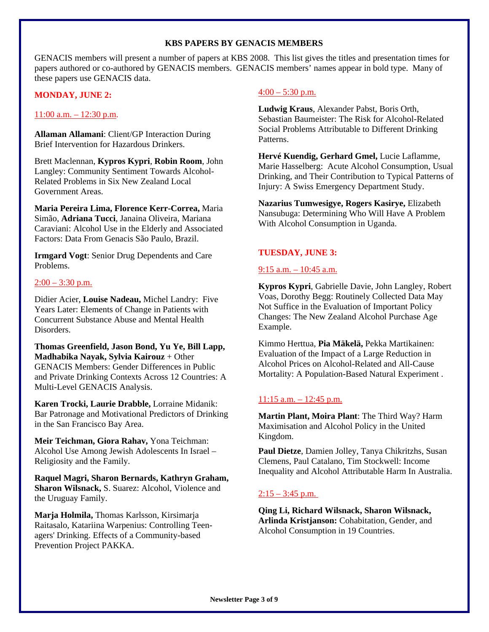#### **KBS PAPERS BY GENACIS MEMBERS**

GENACIS members will present a number of papers at KBS 2008. This list gives the titles and presentation times for papers authored or co-authored by GENACIS members. GENACIS members' names appear in bold type. Many of these papers use GENACIS data.

#### **MONDAY, JUNE 2:**

#### 11:00 a.m. – 12:30 p.m.

**Allaman Allamani**: Client/GP Interaction During Brief Intervention for Hazardous Drinkers.

Brett Maclennan, **Kypros Kypri**, **Robin Room**, John Langley: Community Sentiment Towards Alcohol-Related Problems in Six New Zealand Local Government Areas.

**Maria Pereira Lima, Florence Kerr-Correa,** Maria Simão, **Adriana Tucci**, Janaina Oliveira, Mariana Caraviani: Alcohol Use in the Elderly and Associated Factors: Data From Genacis São Paulo, Brazil.

**Irmgard Vogt**: Senior Drug Dependents and Care Problems.

#### $2:00 - 3:30$  p.m.

Didier Acier, **Louise Nadeau,** Michel Landry: Five Years Later: Elements of Change in Patients with Concurrent Substance Abuse and Mental Health Disorders.

**Thomas Greenfield, Jason Bond, Yu Ye, Bill Lapp, Madhabika Nayak, Sylvia Kairouz** + Other GENACIS Members: Gender Differences in Public and Private Drinking Contexts Across 12 Countries: A Multi-Level GENACIS Analysis.

**Karen Trocki, Laurie Drabble,** Lorraine Midanik: Bar Patronage and Motivational Predictors of Drinking in the San Francisco Bay Area.

**Meir Teichman, Giora Rahav,** Yona Teichman: Alcohol Use Among Jewish Adolescents In Israel – Religiosity and the Family.

**Raquel Magri, Sharon Bernards, Kathryn Graham, Sharon Wilsnack,** S. Suarez: Alcohol, Violence and the Uruguay Family.

**Marja Holmila,** Thomas Karlsson, Kirsimarja Raitasalo, Katariina Warpenius: Controlling Teenagers' Drinking. Effects of a Community-based Prevention Project PAKKA.

#### $4:00 - 5:30$  p.m.

**Ludwig Kraus**, Alexander Pabst, Boris Orth, Sebastian Baumeister: The Risk for Alcohol-Related Social Problems Attributable to Different Drinking Patterns.

**Hervé Kuendig, Gerhard Gmel,** Lucie Laflamme, Marie Hasselberg: Acute Alcohol Consumption, Usual Drinking, and Their Contribution to Typical Patterns of Injury: A Swiss Emergency Department Study.

**Nazarius Tumwesigye, Rogers Kasirye,** Elizabeth Nansubuga: Determining Who Will Have A Problem With Alcohol Consumption in Uganda.

#### **TUESDAY, JUNE 3:**

#### 9:15 a.m. – 10:45 a.m.

**Kypros Kypri**, Gabrielle Davie, John Langley, Robert Voas, Dorothy Begg: Routinely Collected Data May Not Suffice in the Evaluation of Important Policy Changes: The New Zealand Alcohol Purchase Age Example.

Kimmo Herttua, **Pia Mäkelä,** Pekka Martikainen: Evaluation of the Impact of a Large Reduction in Alcohol Prices on Alcohol-Related and All-Cause Mortality: A Population-Based Natural Experiment .

#### $11:15$  a.m.  $-12:45$  p.m.

**Martin Plant, Moira Plant**: The Third Way? Harm Maximisation and Alcohol Policy in the United Kingdom.

**Paul Dietze**, Damien Jolley, Tanya Chikritzhs, Susan Clemens, Paul Catalano, Tim Stockwell: Income Inequality and Alcohol Attributable Harm In Australia.

#### $2:15 - 3:45$  p.m.

**Qing Li, Richard Wilsnack, Sharon Wilsnack, Arlinda Kristjanson:** Cohabitation, Gender, and Alcohol Consumption in 19 Countries.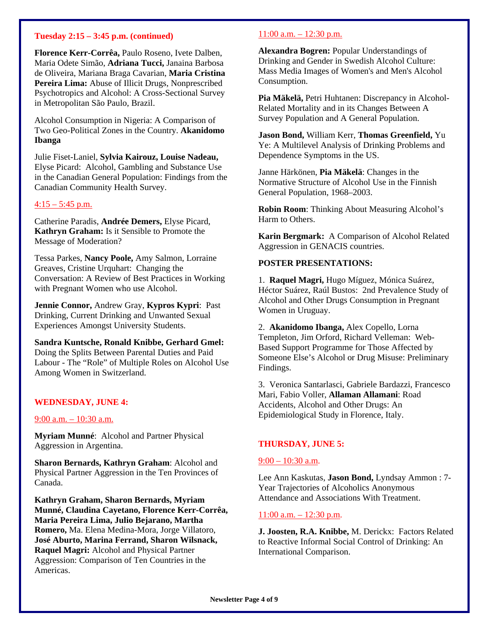#### **Tuesday 2:15 – 3:45 p.m. (continued)**

**Florence Kerr-Corrêa,** Paulo Roseno, Ivete Dalben, Maria Odete Simão, **Adriana Tucci,** Janaina Barbosa de Oliveira, Mariana Braga Cavarian, **Maria Cristina Pereira Lima:** Abuse of Illicit Drugs, Nonprescribed Psychotropics and Alcohol: A Cross-Sectional Survey in Metropolitan São Paulo, Brazil.

Alcohol Consumption in Nigeria: A Comparison of Two Geo-Political Zones in the Country. **Akanidomo Ibanga**

Julie Fiset-Laniel, **Sylvia Kairouz, Louise Nadeau,** Elyse Picard: Alcohol, Gambling and Substance Use in the Canadian General Population: Findings from the Canadian Community Health Survey.

#### $4:15 - 5:45$  p.m.

Catherine Paradis, **Andrée Demers,** Elyse Picard, **Kathryn Graham:** Is it Sensible to Promote the Message of Moderation?

Tessa Parkes, **Nancy Poole,** Amy Salmon, Lorraine Greaves, Cristine Urquhart: Changing the Conversation: A Review of Best Practices in Working with Pregnant Women who use Alcohol.

**Jennie Connor,** Andrew Gray, **Kypros Kypri**: Past Drinking, Current Drinking and Unwanted Sexual Experiences Amongst University Students.

**Sandra Kuntsche, Ronald Knibbe, Gerhard Gmel:** Doing the Splits Between Parental Duties and Paid Labour - The "Role" of Multiple Roles on Alcohol Use Among Women in Switzerland.

#### **WEDNESDAY, JUNE 4:**

#### 9:00 a.m. – 10:30 a.m.

**Myriam Munné**: Alcohol and Partner Physical Aggression in Argentina.

**Sharon Bernards, Kathryn Graham**: Alcohol and Physical Partner Aggression in the Ten Provinces of Canada.

**Kathryn Graham, Sharon Bernards, Myriam Munné, Claudina Cayetano, Florence Kerr-Corrêa, Maria Pereira Lima, Julio Bejarano, Martha Romero,** Ma. Elena Medina-Mora, Jorge Villatoro, **José Aburto, Marina Ferrand, Sharon Wilsnack, Raquel Magri:** Alcohol and Physical Partner Aggression: Comparison of Ten Countries in the Americas.

#### $11:00$  a.m.  $-12:30$  p.m.

**Alexandra Bogren:** Popular Understandings of Drinking and Gender in Swedish Alcohol Culture: Mass Media Images of Women's and Men's Alcohol Consumption.

**Pia Mäkelä,** Petri Huhtanen: Discrepancy in Alcohol-Related Mortality and in its Changes Between A Survey Population and A General Population.

**Jason Bond,** William Kerr, **Thomas Greenfield,** Yu Ye: A Multilevel Analysis of Drinking Problems and Dependence Symptoms in the US.

Janne Härkönen, **Pia Mäkelä**: Changes in the Normative Structure of Alcohol Use in the Finnish General Population, 1968–2003.

**Robin Room**: Thinking About Measuring Alcohol's Harm to Others.

**Karin Bergmark:** A Comparison of Alcohol Related Aggression in GENACIS countries.

#### **POSTER PRESENTATIONS:**

1. **Raquel Magri,** Hugo Míguez, Mónica Suárez, Héctor Suárez, Raúl Bustos: 2nd Prevalence Study of Alcohol and Other Drugs Consumption in Pregnant Women in Uruguay.

2. **Akanidomo Ibanga,** Alex Copello, Lorna Templeton, Jim Orford, Richard Velleman: Web-Based Support Programme for Those Affected by Someone Else's Alcohol or Drug Misuse: Preliminary Findings.

3. Veronica Santarlasci, Gabriele Bardazzi, Francesco Mari, Fabio Voller, **Allaman Allamani**: Road Accidents, Alcohol and Other Drugs: An Epidemiological Study in Florence, Italy.

#### **THURSDAY, JUNE 5:**

#### 9:00 – 10:30 a.m.

Lee Ann Kaskutas, **Jason Bond,** Lyndsay Ammon : 7- Year Trajectories of Alcoholics Anonymous Attendance and Associations With Treatment.

#### 11:00 a.m. – 12:30 p.m.

**J. Joosten, R.A. Knibbe,** M. Derickx: Factors Related to Reactive Informal Social Control of Drinking: An International Comparison.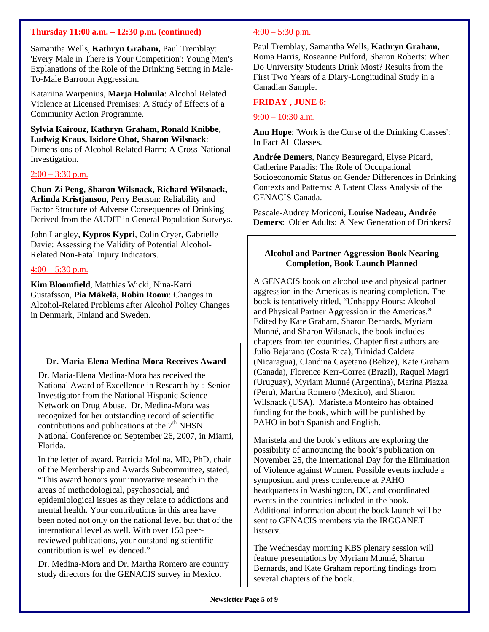#### **Thursday 11:00 a.m. – 12:30 p.m. (continued)**

Samantha Wells, **Kathryn Graham,** Paul Tremblay: 'Every Male in There is Your Competition': Young Men's Explanations of the Role of the Drinking Setting in Male-To-Male Barroom Aggression.

Katariina Warpenius, **Marja Holmila**: Alcohol Related Violence at Licensed Premises: A Study of Effects of a Community Action Programme.

**Sylvia Kairouz, Kathryn Graham, Ronald Knibbe, Ludwig Kraus, Isidore Obot, Sharon Wilsnack**: Dimensions of Alcohol-Related Harm: A Cross-National Investigation.

#### $2:00 - 3:30$  p.m.

**Chun-Zi Peng, Sharon Wilsnack, Richard Wilsnack, Arlinda Kristjanson,** Perry Benson: Reliability and Factor Structure of Adverse Consequences of Drinking Derived from the AUDIT in General Population Surveys.

John Langley, **Kypros Kypri**, Colin Cryer, Gabrielle Davie: Assessing the Validity of Potential Alcohol-Related Non-Fatal Injury Indicators.

#### $4:00 - 5:30$  p.m.

**Kim Bloomfield**, Matthias Wicki, Nina-Katri Gustafsson, **Pia Mäkelä, Robin Room**: Changes in Alcohol-Related Problems after Alcohol Policy Changes in Denmark, Finland and Sweden.

#### **Dr. Maria-Elena Medina-Mora Receives Award**

Dr. Maria-Elena Medina-Mora has received the National Award of Excellence in Research by a Senior Investigator from the National Hispanic Science Network on Drug Abuse. Dr. Medina-Mora was recognized for her outstanding record of scientific contributions and publications at the  $7<sup>th</sup> N<sub>H</sub>SN$ National Conference on September 26, 2007, in Miami, Florida.

In the letter of award, Patricia Molina, MD, PhD, chair of the Membership and Awards Subcommittee, stated, "This award honors your innovative research in the areas of methodological, psychosocial, and epidemiological issues as they relate to addictions and mental health. Your contributions in this area have been noted not only on the national level but that of the international level as well. With over 150 peerreviewed publications, your outstanding scientific contribution is well evidenced."

Dr. Medina-Mora and Dr. Martha Romero are country study directors for the GENACIS survey in Mexico.

#### $4:00 - 5:30$  p.m.

Paul Tremblay, Samantha Wells, **Kathryn Graham**, Roma Harris, Roseanne Pulford, Sharon Roberts: When Do University Students Drink Most? Results from the First Two Years of a Diary-Longitudinal Study in a Canadian Sample.

#### **FRIDAY , JUNE 6:**

#### 9:00 – 10:30 a.m.

**Ann Hope**: 'Work is the Curse of the Drinking Classes': In Fact All Classes.

**Andrée Demers**, Nancy Beauregard, Elyse Picard, Catherine Paradis: The Role of Occupational Socioeconomic Status on Gender Differences in Drinking Contexts and Patterns: A Latent Class Analysis of the GENACIS Canada.

Pascale-Audrey Moriconi, **Louise Nadeau, Andrée Demers**: Older Adults: A New Generation of Drinkers?

#### **Alcohol and Partner Aggression Book Nearing Completion, Book Launch Planned**

A GENACIS book on alcohol use and physical partner aggression in the Americas is nearing completion. The book is tentatively titled, "Unhappy Hours: Alcohol and Physical Partner Aggression in the Americas." Edited by Kate Graham, Sharon Bernards, Myriam Munné, and Sharon Wilsnack, the book includes chapters from ten countries. Chapter first authors are Julio Bejarano (Costa Rica), Trinidad Caldera (Nicaragua), Claudina Cayetano (Belize), Kate Graham (Canada), Florence Kerr-Correa (Brazil), Raquel Magri (Uruguay), Myriam Munné (Argentina), Marina Piazza (Peru), Martha Romero (Mexico), and Sharon Wilsnack (USA). Maristela Monteiro has obtained funding for the book, which will be published by PAHO in both Spanish and English.

Maristela and the book's editors are exploring the possibility of announcing the book's publication on November 25, the International Day for the Elimination of Violence against Women. Possible events include a symposium and press conference at PAHO headquarters in Washington, DC, and coordinated events in the countries included in the book. Additional information about the book launch will be sent to GENACIS members via the IRGGANET listserv.

The Wednesday morning KBS plenary session will feature presentations by Myriam Munné, Sharon Bernards, and Kate Graham reporting findings from several chapters of the book.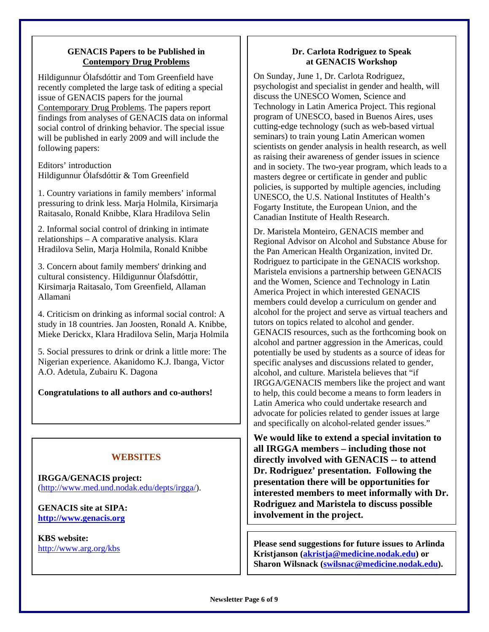#### **GENACIS Papers to be Published in Contempory Drug Problems**

Hildigunnur Ólafsdóttir and Tom Greenfield have recently completed the large task of editing a special issue of GENACIS papers for the journal Contemporary Drug Problems. The papers report findings from analyses of GENACIS data on informal social control of drinking behavior. The special issue will be published in early 2009 and will include the following papers:

Editors' introduction Hildigunnur Ólafsdóttir & Tom Greenfield

1. Country variations in family members' informal pressuring to drink less. Marja Holmila, Kirsimarja Raitasalo, Ronald Knibbe, Klara Hradilova Selin

2. Informal social control of drinking in intimate relationships – A comparative analysis. Klara Hradilova Selin, Marja Holmila, Ronald Knibbe

3. Concern about family members' drinking and cultural consistency. Hildigunnur Ólafsdóttir, Kirsimarja Raitasalo, Tom Greenfield, Allaman Allamani

4. Criticism on drinking as informal social control: A study in 18 countries. Jan Joosten, Ronald A. Knibbe, Mieke Derickx, Klara Hradilova Selin, Marja Holmila

5. Social pressures to drink or drink a little more: The Nigerian experience. Akanidomo K.J. Ibanga, Victor A.O. Adetula, Zubairu K. Dagona

#### **Congratulations to all authors and co-authors!**

#### **WEBSITES**

**IRGGA/GENACIS project:**  [\(http://www.med.und.nodak.edu/depts/irgga/\)](http://www.med.und.nodak.edu/depts/irgga/).

**GENACIS site at SIPA: [http://www.genacis.org](http://www.sfa-ispa.ch/genacis/intro.htm)**

**KBS website:**  <http://www.arg.org/kbs>

#### **Dr. Carlota Rodriguez to Speak at GENACIS Workshop**

On Sunday, June 1, Dr. Carlota Rodriguez, psychologist and specialist in gender and health, will discuss the UNESCO Women, Science and Technology in Latin America Project. This regional program of UNESCO, based in Buenos Aires, uses cutting-edge technology (such as web-based virtual seminars) to train young Latin American women scientists on gender analysis in health research, as well as raising their awareness of gender issues in science and in society. The two-year program, which leads to a masters degree or certificate in gender and public policies, is supported by multiple agencies, including UNESCO, the U.S. National Institutes of Health's Fogarty Institute, the European Union, and the Canadian Institute of Health Research.

Dr. Maristela Monteiro, GENACIS member and Regional Advisor on Alcohol and Substance Abuse for the Pan American Health Organization, invited Dr. Rodriguez to participate in the GENACIS workshop. Maristela envisions a partnership between GENACIS and the Women, Science and Technology in Latin America Project in which interested GENACIS members could develop a curriculum on gender and alcohol for the project and serve as virtual teachers and tutors on topics related to alcohol and gender. GENACIS resources, such as the forthcoming book on alcohol and partner aggression in the Americas, could potentially be used by students as a source of ideas for specific analyses and discussions related to gender, alcohol, and culture. Maristela believes that "if IRGGA/GENACIS members like the project and want to help, this could become a means to form leaders in Latin America who could undertake research and advocate for policies related to gender issues at large and specifically on alcohol-related gender issues."

**We would like to extend a special invitation to all IRGGA members – including those not directly involved with GENACIS -- to attend Dr. Rodriguez' presentation. Following the presentation there will be opportunities for interested members to meet informally with Dr. Rodriguez and Maristela to discuss possible involvement in the project.** 

**Please send suggestions for future issues to Arlinda Kristjanson ([akristja@medicine.nodak.edu\)](mailto:akristja@medicine.nodak.edu) or Sharon Wilsnack [\(swilsnac@medicine.nodak.edu\)](mailto:swilsnac@medicine.nodak.edu).**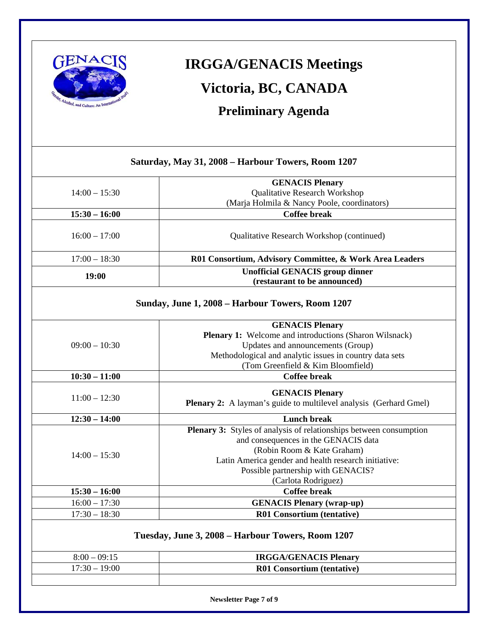

## **IRGGA/GENACIS Meetings Victoria, BC, CANADA**

**Preliminary Agenda** 

### **Saturday, May 31, 2008 – Harbour Towers, Room 1207**   $14:00 - 15:30$ **GENACIS Plenary**  Qualitative Research Workshop (Marja Holmila & Nancy Poole, coordinators) **15:30 – 16:00 Coffee break**  16:00 – 17:00 Qualitative Research Workshop (continued) 17:00 – 18:30 **R01 Consortium, Advisory Committee, & Work Area Leaders 19:00 Unofficial GENACIS group dinner (restaurant to be announced) Sunday, June 1, 2008 – Harbour Towers, Room 1207**   $09:00 - 10:30$ **GENACIS Plenary Plenary 1:** Welcome and introductions (Sharon Wilsnack) Updates and announcements (Group) Methodological and analytic issues in country data sets (Tom Greenfield & Kim Bloomfield) **10:30 – 11:00 Coffee break**  11:00 – 12:30 **Plenary 2:** A layman's guide to multilevel analysis (Gerhard Gmel) **12:30 – 14:00 Lunch break**  14:00 – 15:30 **Plenary 3:** Styles of analysis of relationships between consumption and consequences in the GENACIS data (Robin Room & Kate Graham) Latin America gender and health research initiative: Possible partnership with GENACIS? (Carlota Rodriguez) **15:30 – 16:00 Coffee break**  16:00 – 17:30 **GENACIS Plenary (wrap-up)**  17:30 – 18:30 **R01 Consortium (tentative) Tuesday, June 3, 2008 – Harbour Towers, Room 1207**

| $8:00 - 09:15$  | <b>IRGGA/GENACIS Plenary</b>      |
|-----------------|-----------------------------------|
| $17:30 - 19:00$ | <b>R01 Consortium (tentative)</b> |
|                 |                                   |

**Newsletter Page 7 of 9**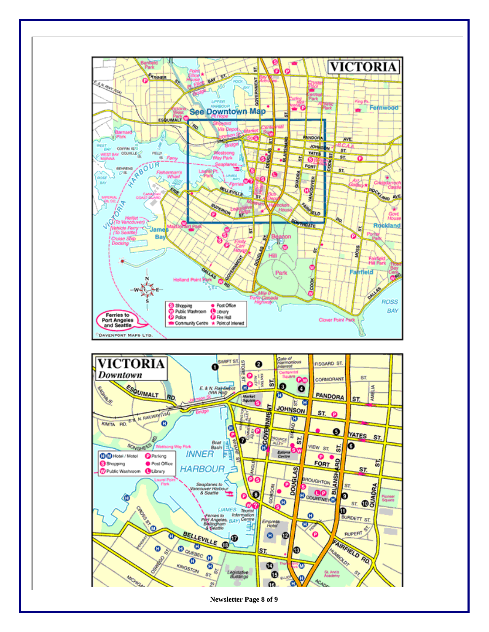

**Newsletter Page 8 of 9**